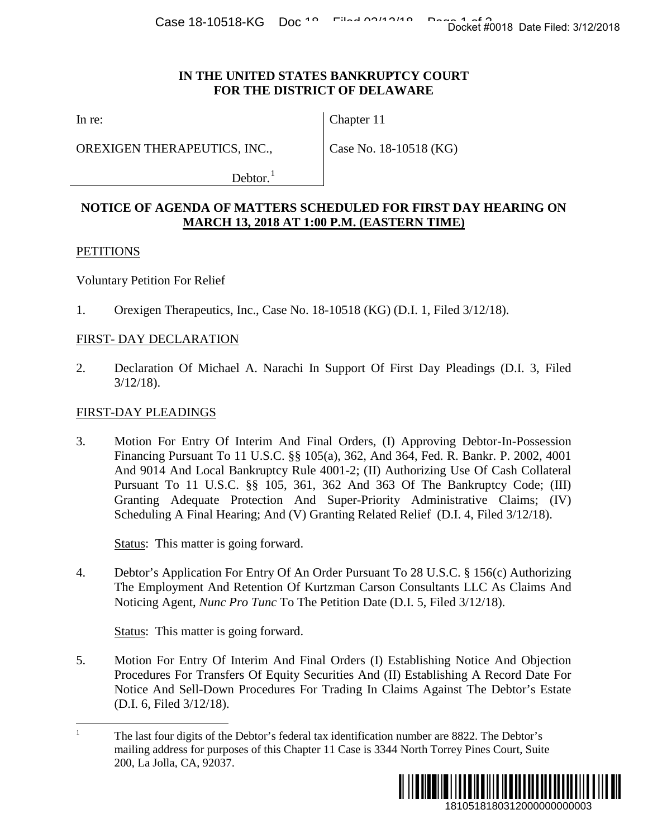Case 18-10518-KG Doc <sup>10</sup> Filed 00/10/10 Page 1 of 40018 Date Filed: 3/12/2018

## **IN THE UNITED STATES BANKRUPTCY COURT FOR THE DISTRICT OF DELAWARE**

In re:

OREXIGEN THERAPEUTICS, INC.,

Chapter 11

Case No. 18-10518 (KG)

Debtor. $<sup>1</sup>$  $<sup>1</sup>$  $<sup>1</sup>$ </sup>

# **NOTICE OF AGENDA OF MATTERS SCHEDULED FOR FIRST DAY HEARING ON MARCH 13, 2018 AT 1:00 P.M. (EASTERN TIME)**

#### **PETITIONS**

Voluntary Petition For Relief

1. Orexigen Therapeutics, Inc., Case No. 18-10518 (KG) (D.I. 1, Filed 3/12/18).

#### FIRST- DAY DECLARATION

2. Declaration Of Michael A. Narachi In Support Of First Day Pleadings (D.I. 3, Filed 3/12/18).

### FIRST-DAY PLEADINGS

3. Motion For Entry Of Interim And Final Orders, (I) Approving Debtor-In-Possession Financing Pursuant To 11 U.S.C. §§ 105(a), 362, And 364, Fed. R. Bankr. P. 2002, 4001 And 9014 And Local Bankruptcy Rule 4001-2; (II) Authorizing Use Of Cash Collateral Pursuant To 11 U.S.C. §§ 105, 361, 362 And 363 Of The Bankruptcy Code; (III) Granting Adequate Protection And Super-Priority Administrative Claims; (IV) Scheduling A Final Hearing; And (V) Granting Related Relief (D.I. 4, Filed 3/12/18). Docket #0018 Date Filed: 3/12/2018<br>
1810<br>
(G)<br>
(G)<br>
(G)<br>
(G)<br>
(G)<br>
(DAY HEARING ON<br>
(Let 3/12/18).<br>
Pleadings (D.I. 3, Filed<br>
(USe Of Cash Collateral<br>
(USe Of Cash Collateral<br>
Bankruptcy Code; (III)<br>
istrative Claims, (IV

Status: This matter is going forward.

4. Debtor's Application For Entry Of An Order Pursuant To 28 U.S.C. § 156(c) Authorizing The Employment And Retention Of Kurtzman Carson Consultants LLC As Claims And Noticing Agent, *Nunc Pro Tunc* To The Petition Date (D.I. 5, Filed 3/12/18).

Status: This matter is going forward.

5. Motion For Entry Of Interim And Final Orders (I) Establishing Notice And Objection Procedures For Transfers Of Equity Securities And (II) Establishing A Record Date For Notice And Sell-Down Procedures For Trading In Claims Against The Debtor's Estate (D.I. 6, Filed 3/12/18).

<span id="page-0-0"></span><sup>&</sup>lt;sup>1</sup> The last four digits of the Debtor's federal tax identification number are 8822. The Debtor's mailing address for purposes of this Chapter 11 Case is 3344 North Torrey Pines Court, Suite 200, La Jolla, CA, 92037.

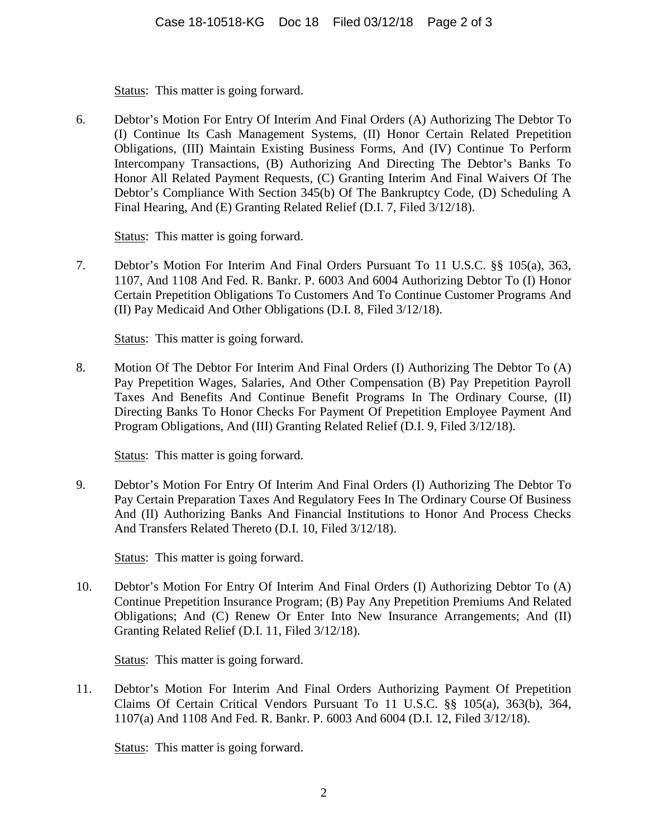Status: This matter is going forward.

6. Debtor's Motion For Entry Of Interim And Final Orders (A) Authorizing The Debtor To (I) Continue Its Cash Management Systems, (II) Honor Certain Related Prepetition Obligations, (III) Maintain Existing Business Forms, And (IV) Continue To Perform Intercompany Transactions, (B) Authorizing And Directing The Debtor's Banks To Honor All Related Payment Requests, (C) Granting Interim And Final Waivers Of The Debtor's Compliance With Section 345(b) Of The Bankruptcy Code, (D) Scheduling A Final Hearing, And (E) Granting Related Relief (D.I. 7, Filed 3/12/18).

Status: This matter is going forward.

7. Debtor's Motion For Interim And Final Orders Pursuant To 11 U.S.C. §§ 105(a), 363, 1107, And 1108 And Fed. R. Bankr. P. 6003 And 6004 Authorizing Debtor To (I) Honor Certain Prepetition Obligations To Customers And To Continue Customer Programs And (II) Pay Medicaid And Other Obligations (D.I. 8, Filed 3/12/18).

Status: This matter is going forward.

8. Motion Of The Debtor For Interim And Final Orders (I) Authorizing The Debtor To (A) Pay Prepetition Wages, Salaries, And Other Compensation (B) Pay Prepetition Payroll Taxes And Benefits And Continue Benefit Programs In The Ordinary Course, (II) Directing Banks To Honor Checks For Payment Of Prepetition Employee Payment And Program Obligations, And (III) Granting Related Relief (D.I. 9, Filed 3/12/18).

Status: This matter is going forward.

9. Debtor's Motion For Entry Of Interim And Final Orders (I) Authorizing The Debtor To Pay Certain Preparation Taxes And Regulatory Fees In The Ordinary Course Of Business And (II) Authorizing Banks And Financial Institutions to Honor And Process Checks And Transfers Related Thereto (D.I. 10, Filed 3/12/18).

Status: This matter is going forward.

10. Debtor's Motion For Entry Of Interim And Final Orders (I) Authorizing Debtor To (A) Continue Prepetition Insurance Program; (B) Pay Any Prepetition Premiums And Related Obligations; And (C) Renew Or Enter Into New Insurance Arrangements; And (II) Granting Related Relief (D.I. 11, Filed 3/12/18).

Status: This matter is going forward.

11. Debtor's Motion For Interim And Final Orders Authorizing Payment Of Prepetition Claims Of Certain Critical Vendors Pursuant To 11 U.S.C. §§ 105(a), 363(b), 364, 1107(a) And 1108 And Fed. R. Bankr. P. 6003 And 6004 (D.I. 12, Filed 3/12/18).

Status: This matter is going forward.